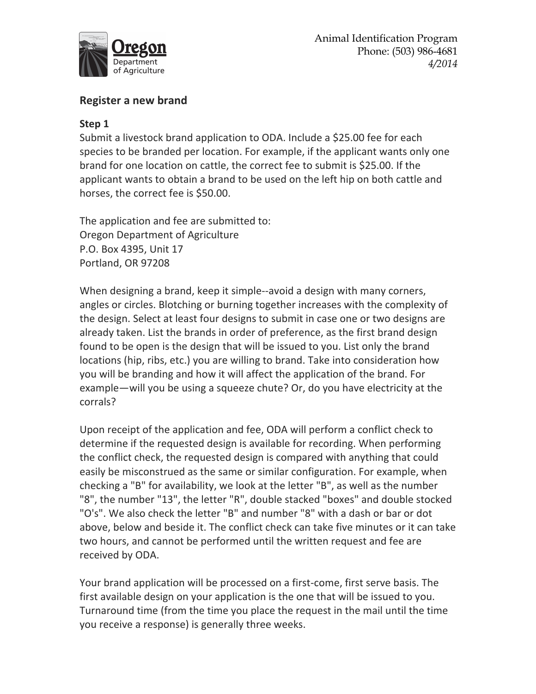

## **Register a new brand**

## **Step 1**

Submit a livestock brand application to ODA. Include a \$25.00 fee for each species to be branded per location. For example, if the applicant wants only one brand for one location on cattle, the correct fee to submit is \$25.00. If the applicant wants to obtain a brand to be used on the left hip on both cattle and horses, the correct fee is \$50.00.

The application and fee are submitted to: Oregon Department of Agriculture P.O. Box 4395, Unit 17 Portland, OR 97208

When designing a brand, keep it simple--avoid a design with many corners, angles or circles. Blotching or burning together increases with the complexity of the design. Select at least four designs to submit in case one or two designs are already taken. List the brands in order of preference, as the first brand design found to be open is the design that will be issued to you. List only the brand locations (hip, ribs, etc.) you are willing to brand. Take into consideration how you will be branding and how it will affect the application of the brand. For example—will you be using a squeeze chute? Or, do you have electricity at the corrals?

Upon receipt of the application and fee, ODA will perform a conflict check to determine if the requested design is available for recording. When performing the conflict check, the requested design is compared with anything that could easily be misconstrued as the same or similar configuration. For example, when checking a "B" for availability, we look at the letter "B", as well as the number "8", the number "13", the letter "R", double stacked "boxes" and double stocked "O's". We also check the letter "B" and number "8" with a dash or bar or dot above, below and beside it. The conflict check can take five minutes or it can take two hours, and cannot be performed until the written request and fee are received by ODA.

Your brand application will be processed on a first-come, first serve basis. The first available design on your application is the one that will be issued to you. Turnaround time (from the time you place the request in the mail until the time you receive a response) is generally three weeks.